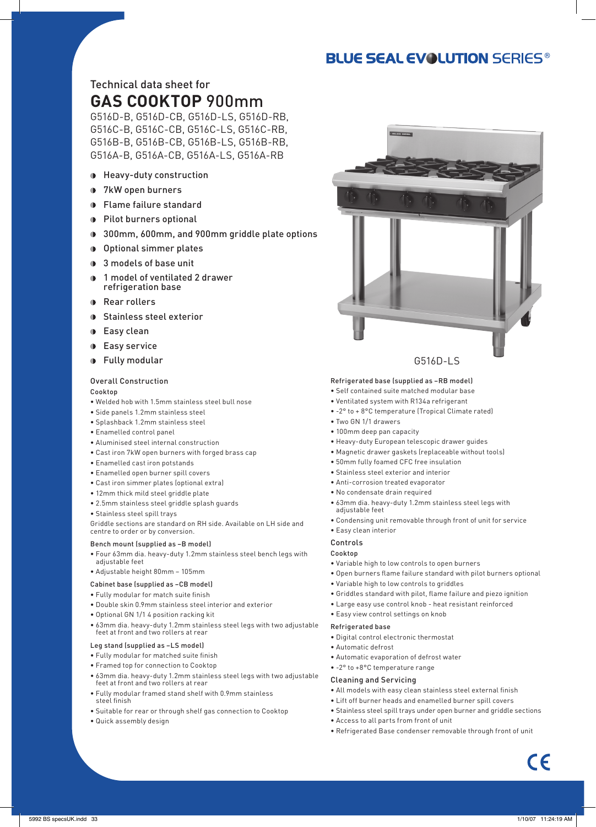# **BLUE SEAL EVOLUTION SERIES®**

.<br>Correspondi

# Technical data sheet for **GAS COOKTOP** 900mm

G516D-B, G516D-CB, G516D-LS, G516D-RB, G516C-B, G516C-CB, G516C-LS, G516C-RB, G516B-B, G516B-CB, G516B-LS, G516B-RB, G516A-B, G516A-CB, G516A-LS, G516A-RB

- Heavy-duty construction
- 7kW open burners
- Flame failure standard
- **Pilot burners optional**
- 300mm, 600mm, and 900mm griddle plate options
- Optional simmer plates
- **3** models of base unit
- 1 model of ventilated 2 drawer refrigeration base
- **Rear rollers**
- Stainless steel exterior
- **D** Easy clean
- **Easy service**
- **D** Fully modular

#### Overall Construction

Cooktop

- Welded hob with 1.5mm stainless steel bull nose
- Side panels 1.2mm stainless steel
- Splashback 1.2mm stainless steel
- Enamelled control panel
- Aluminised steel internal construction
- Cast iron 7kW open burners with forged brass cap
- Enamelled cast iron potstands
- Enamelled open burner spill covers
- Cast iron simmer plates (optional extra)
- 12mm thick mild steel griddle plate
- 2.5mm stainless steel griddle splash guards
- Stainless steel spill trays

Griddle sections are standard on RH side. Available on LH side and centre to order or by conversion.

### Bench mount (supplied as –B model)

- Four 63mm dia. heavy-duty 1.2mm stainless steel bench legs with adjustable feet
- Adjustable height 80mm 105mm
- Cabinet base (supplied as –CB model)

# • Fully modular for match suite finish

- 
- Double skin 0.9mm stainless steel interior and exterior
- Optional GN 1/1 4 position racking kit
- 63mm dia. heavy-duty 1.2mm stainless steel legs with two adjustable feet at front and two rollers at rear

#### Leg stand (supplied as –LS model)

- Fully modular for matched suite finish
- Framed top for connection to Cooktop
- 63mm dia. heavy-duty 1.2mm stainless steel legs with two adjustable feet at front and two rollers at rear
- Fully modular framed stand shelf with 0.9mm stainless steel finish
- Suitable for rear or through shelf gas connection to Cooktop • Quick assembly design
- 
- -
	- Automatic defrost
	- Automatic evaporation of defrost water
	- -2° to +8°C temperature range

#### Cleaning and Servicing

- All models with easy clean stainless steel external finish
- Lift off burner heads and enamelled burner spill covers
- 
- Access to all parts from front of unit
- Refrigerated Base condenser removable through front of unit



G516D-LS

#### Refrigerated base (supplied as –RB model)

- Self contained suite matched modular base
- Ventilated system with R134a refrigerant
- -2° to + 8°C temperature (Tropical Climate rated)
- Two GN 1/1 drawers
- 100mm deep pan capacity
- Heavy-duty European telescopic drawer guides
- Magnetic drawer gaskets (replaceable without tools)
- 50mm fully foamed CFC free insulation
- Stainless steel exterior and interior
- Anti-corrosion treated evaporator
- No condensate drain required
- 63mm dia. heavy-duty 1.2mm stainless steel legs with adjustable feet
- Condensing unit removable through front of unit for service

# • Easy clean interior

#### Controls Cooktop

- Variable high to low controls to open burners
- Open burners flame failure standard with pilot burners optional
- Variable high to low controls to griddles
- Griddles standard with pilot, flame failure and piezo ignition
- Large easy use control knob heat resistant reinforced
- Easy view control settings on knob

#### Refrigerated base

- Digital control electronic thermostat
- 

- 
- Stainless steel spill trays under open burner and griddle sections
-